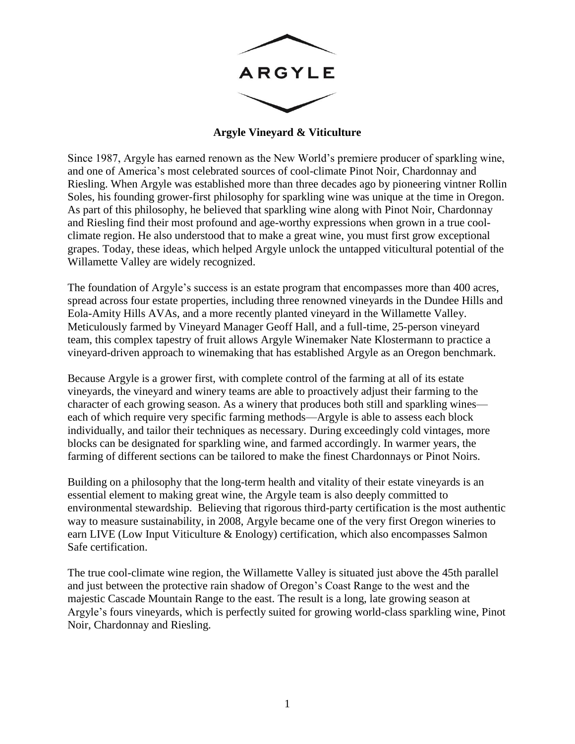

**Argyle Vineyard & Viticulture**

Since 1987, Argyle has earned renown as the New World's premiere producer of sparkling wine, and one of America's most celebrated sources of cool-climate Pinot Noir, Chardonnay and Riesling. When Argyle was established more than three decades ago by pioneering vintner Rollin Soles, his founding grower-first philosophy for sparkling wine was unique at the time in Oregon. As part of this philosophy, he believed that sparkling wine along with Pinot Noir, Chardonnay and Riesling find their most profound and age-worthy expressions when grown in a true coolclimate region. He also understood that to make a great wine, you must first grow exceptional grapes. Today, these ideas, which helped Argyle unlock the untapped viticultural potential of the Willamette Valley are widely recognized.

The foundation of Argyle's success is an estate program that encompasses more than 400 acres, spread across four estate properties, including three renowned vineyards in the Dundee Hills and Eola-Amity Hills AVAs, and a more recently planted vineyard in the Willamette Valley. Meticulously farmed by Vineyard Manager Geoff Hall, and a full-time, 25-person vineyard team, this complex tapestry of fruit allows Argyle Winemaker Nate Klostermann to practice a vineyard-driven approach to winemaking that has established Argyle as an Oregon benchmark.

Because Argyle is a grower first, with complete control of the farming at all of its estate vineyards, the vineyard and winery teams are able to proactively adjust their farming to the character of each growing season. As a winery that produces both still and sparkling wines each of which require very specific farming methods—Argyle is able to assess each block individually, and tailor their techniques as necessary. During exceedingly cold vintages, more blocks can be designated for sparkling wine, and farmed accordingly. In warmer years, the farming of different sections can be tailored to make the finest Chardonnays or Pinot Noirs.

Building on a philosophy that the long-term health and vitality of their estate vineyards is an essential element to making great wine, the Argyle team is also deeply committed to environmental stewardship. Believing that rigorous third-party certification is the most authentic way to measure sustainability, in 2008, Argyle became one of the very first Oregon wineries to earn LIVE (Low Input Viticulture & Enology) certification, which also encompasses Salmon Safe certification.

The true cool-climate wine region, the Willamette Valley is situated just above the 45th parallel and just between the protective rain shadow of Oregon's Coast Range to the west and the majestic Cascade Mountain Range to the east. The result is a long, late growing season at Argyle's fours vineyards, which is perfectly suited for growing world-class sparkling wine, Pinot Noir, Chardonnay and Riesling.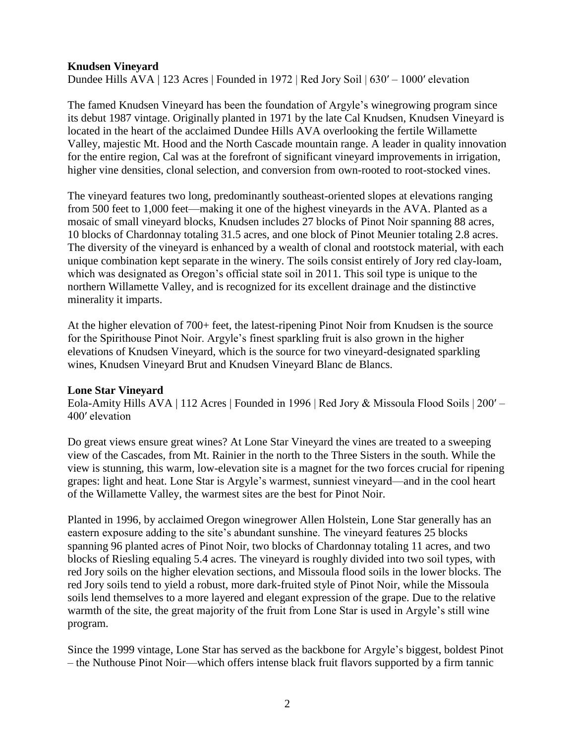## **Knudsen Vineyard**

Dundee Hills AVA | 123 Acres | Founded in 1972 | Red Jory Soil | 630′ – 1000′ elevation

The famed Knudsen Vineyard has been the foundation of Argyle's winegrowing program since its debut 1987 vintage. Originally planted in 1971 by the late Cal Knudsen, Knudsen Vineyard is located in the heart of the acclaimed Dundee Hills AVA overlooking the fertile Willamette Valley, majestic Mt. Hood and the North Cascade mountain range. A leader in quality innovation for the entire region, Cal was at the forefront of significant vineyard improvements in irrigation, higher vine densities, clonal selection, and conversion from own-rooted to root-stocked vines.

The vineyard features two long, predominantly southeast-oriented slopes at elevations ranging from 500 feet to 1,000 feet—making it one of the highest vineyards in the AVA. Planted as a mosaic of small vineyard blocks, Knudsen includes 27 blocks of Pinot Noir spanning 88 acres, 10 blocks of Chardonnay totaling 31.5 acres, and one block of Pinot Meunier totaling 2.8 acres. The diversity of the vineyard is enhanced by a wealth of clonal and rootstock material, with each unique combination kept separate in the winery. The soils consist entirely of Jory red clay-loam, which was designated as Oregon's official state soil in 2011. This soil type is unique to the northern Willamette Valley, and is recognized for its excellent drainage and the distinctive minerality it imparts.

At the higher elevation of 700+ feet, the latest-ripening Pinot Noir from Knudsen is the source for the Spirithouse Pinot Noir. Argyle's finest sparkling fruit is also grown in the higher elevations of Knudsen Vineyard, which is the source for two vineyard-designated sparkling wines, Knudsen Vineyard Brut and Knudsen Vineyard Blanc de Blancs.

## **Lone Star Vineyard**

Eola-Amity Hills AVA | 112 Acres | Founded in 1996 | Red Jory & Missoula Flood Soils | 200′ – 400′ elevation

Do great views ensure great wines? At Lone Star Vineyard the vines are treated to a sweeping view of the Cascades, from Mt. Rainier in the north to the Three Sisters in the south. While the view is stunning, this warm, low-elevation site is a magnet for the two forces crucial for ripening grapes: light and heat. Lone Star is Argyle's warmest, sunniest vineyard—and in the cool heart of the Willamette Valley, the warmest sites are the best for Pinot Noir.

Planted in 1996, by acclaimed Oregon winegrower Allen Holstein, Lone Star generally has an eastern exposure adding to the site's abundant sunshine. The vineyard features 25 blocks spanning 96 planted acres of Pinot Noir, two blocks of Chardonnay totaling 11 acres, and two blocks of Riesling equaling 5.4 acres. The vineyard is roughly divided into two soil types, with red Jory soils on the higher elevation sections, and Missoula flood soils in the lower blocks. The red Jory soils tend to yield a robust, more dark-fruited style of Pinot Noir, while the Missoula soils lend themselves to a more layered and elegant expression of the grape. Due to the relative warmth of the site, the great majority of the fruit from Lone Star is used in Argyle's still wine program.

Since the 1999 vintage, Lone Star has served as the backbone for Argyle's biggest, boldest Pinot – the Nuthouse Pinot Noir—which offers intense black fruit flavors supported by a firm tannic